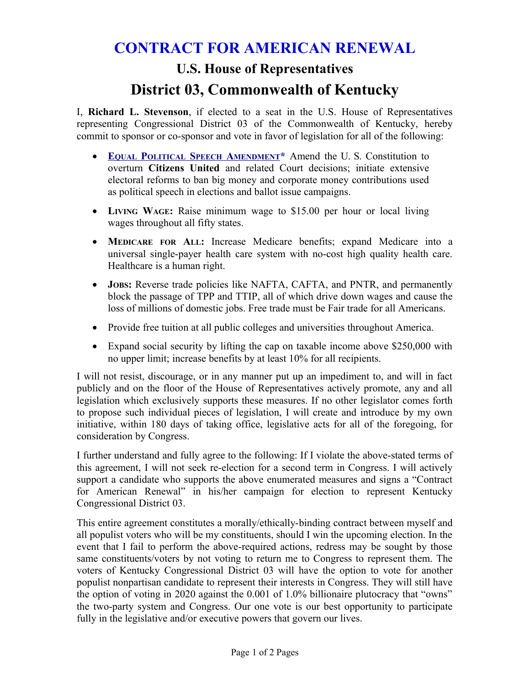# **CONTRACT FOR AMERICAN RENEWAL U.S. House of Representatives**

# **District 03, Commonwealth of Kentucky**

I, **Richard L. Stevenson**, if elected to a seat in the U.S. House of Representatives representing Congressional District 03 of the Commonwealth of Kentucky, hereby commit to sponsor or co-sponsor and vote in favor of legislation for all of the following:

- **EQUAL POLITICAL SPEECH A[MENDMENT](http://cs2pr.us/Equal_Political_Speech.html)\*** Amend the U. S. Constitution to overturn **Citizens United** and related Court decisions; initiate extensive electoral reforms to ban big money and corporate money contributions used as political speech in elections and ballot issue campaigns.
- **LIVING WAGE:** Raise minimum wage to \$15.00 per hour or local living wages throughout all fifty states.
- **MEDICARE FOR ALL:** Increase Medicare benefits; expand Medicare into a universal single-payer health care system with no-cost high quality health care. Healthcare is a human right.
- **JOBS:** Reverse trade policies like NAFTA, CAFTA, and PNTR, and permanently block the passage of TPP and TTIP, all of which drive down wages and cause the loss of millions of domestic jobs. Free trade must be Fair trade for all Americans.
- Provide free tuition at all public colleges and universities throughout America.
- Expand social security by lifting the cap on taxable income above \$250,000 with no upper limit; increase benefits by at least 10% for all recipients.

I will not resist, discourage, or in any manner put up an impediment to, and will in fact publicly and on the floor of the House of Representatives actively promote, any and all legislation which exclusively supports these measures. If no other legislator comes forth to propose such individual pieces of legislation, I will create and introduce by my own initiative, within 180 days of taking office, legislative acts for all of the foregoing, for consideration by Congress.

I further understand and fully agree to the following: If I violate the above-stated terms of this agreement, I will not seek re-election for a second term in Congress. I will actively support a candidate who supports the above enumerated measures and signs a "Contract for American Renewal" in his/her campaign for election to represent Kentucky Congressional District 03.

This entire agreement constitutes a morally/ethically-binding contract between myself and all populist voters who will be my constituents, should I win the upcoming election. In the event that I fail to perform the above-required actions, redress may be sought by those same constituents/voters by not voting to return me to Congress to represent them. The voters of Kentucky Congressional District 03 will have the option to vote for another populist nonpartisan candidate to represent their interests in Congress. They will still have the option of voting in 2020 against the 0.001 of 1.0% billionaire plutocracy that "owns" the two-party system and Congress. Our one vote is our best opportunity to participate fully in the legislative and/or executive powers that govern our lives.